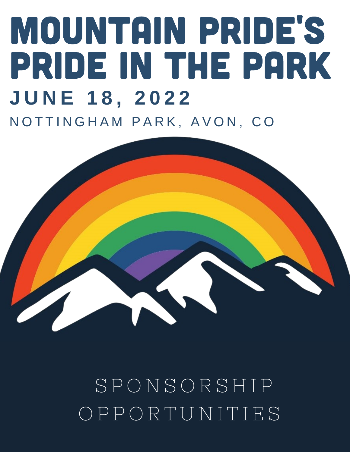## MOUNTAIN PRIDE'S PRIDE IN THE PARK **J U N E 1 8 , 2 0 2 2** NOTTINGHAM PARK, AVON, CO



S P O N S O R S H I P O P P O R T U N I T I E S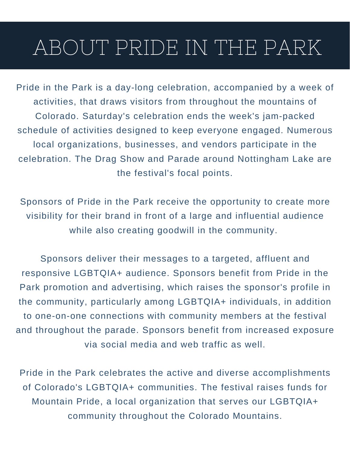## ABOUT PRIDE IN THE PARK

Pride in the Park is a day-long celebration, accompanied by a week of activities, that draws visitors from throughout the mountains of Colorado. Saturday's celebration ends the week's jam-packed schedule of activities designed to keep everyone engaged. Numerous local organizations, businesses, and vendors participate in the celebration. The Drag Show and Parade around Nottingham Lake are the festival's focal points.

Sponsors of Pride in the Park receive the opportunity to create more visibility for their brand in front of a large and influential audience while also creating goodwill in the community.

Sponsors deliver their messages to a targeted, affluent and responsive LGBTQIA+ audience. Sponsors benefit from Pride in the Park promotion and advertising, which raises the sponsor's profile in the community, particularly among LGBTQIA+ individuals, in addition to one-on-one connections with community members at the festival and throughout the parade. Sponsors benefit from increased exposure via social media and web traffic as well.

Pride in the Park celebrates the active and diverse accomplishments of Colorado's LGBTQIA+ communities. The festival raises funds for Mountain Pride, a local organization that serves our LGBTQIA+ community throughout the Colorado Mountains.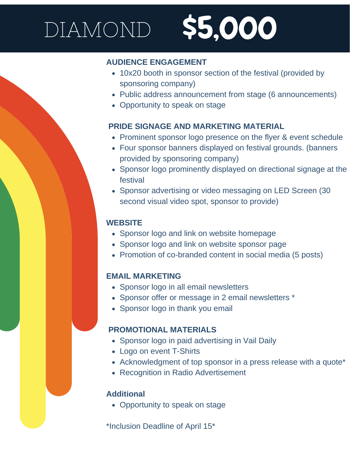# DIAMOND \$5,000

### **AUDIENCE ENGAGEMENT**

- 10x20 booth in sponsor section of the festival (provided by sponsoring company)
- Public address announcement from stage (6 announcements)
- Opportunity to speak on stage

#### **PRIDE SIGNAGE AND MARKETING MATERIAL**

- Prominent sponsor logo presence on the flyer & event schedule
- Four sponsor banners displayed on festival grounds. (banners provided by sponsoring company)
- Sponsor logo prominently displayed on directional signage at the festival
- Sponsor advertising or video messaging on LED Screen (30 second visual video spot, sponsor to provide)

#### **WEBSITE**

- Sponsor logo and link on website homepage
- Sponsor logo and link on website sponsor page
- Promotion of co-branded content in social media (5 posts)

#### **EMAIL MARKETING**

- Sponsor logo in all email newsletters
- Sponsor offer or message in 2 email newsletters \*
- Sponsor logo in thank you email

#### **PROMOTIONAL MATERIALS**

- Sponsor logo in paid advertising in Vail Daily
- Logo on event T-Shirts
- Acknowledgment of top sponsor in a press release with a quote\*
- Recognition in Radio Advertisement

#### **Additional**

• Opportunity to speak on stage

\*Inclusion Deadline of April 15\*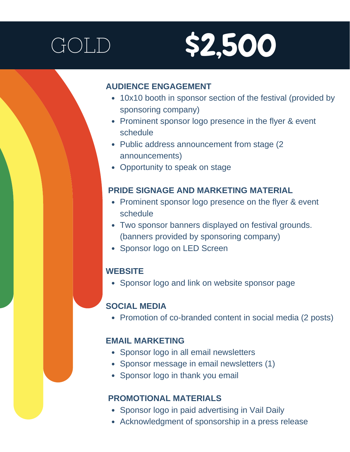

#### **AUDIENCE ENGAGEMENT**

- 10x10 booth in sponsor section of the festival (provided by sponsoring company)
- Prominent sponsor logo presence in the flyer & event schedule
- Public address announcement from stage (2) announcements)
- Opportunity to speak on stage

#### **PRIDE SIGNAGE AND MARKETING MATERIAL**

- Prominent sponsor logo presence on the flyer & event schedule
- Two sponsor banners displayed on festival grounds. (banners provided by sponsoring company)
- Sponsor logo on LED Screen

#### **WEBSITE**

• Sponsor logo and link on website sponsor page

### **SOCIAL MEDIA**

• Promotion of co-branded content in social media (2 posts)

#### **EMAIL MARKETING**

- Sponsor logo in all email newsletters
- Sponsor message in email newsletters (1)
- Sponsor logo in thank you email

#### **PROMOTIONAL MATERIALS**

- Sponsor logo in paid advertising in Vail Daily
- Acknowledgment of sponsorship in a press release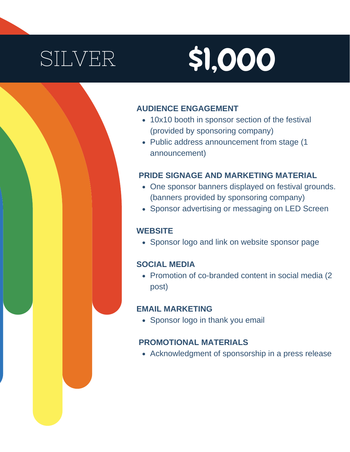# SILVER \$1,000

#### **AUDIENCE ENGAGEMENT**

- 10x10 booth in sponsor section of the festival (provided by sponsoring company)
- Public address announcement from stage (1) announcement)

#### **PRIDE SIGNAGE AND MARKETING MATERIAL**

- One sponsor banners displayed on festival grounds. (banners provided by sponsoring company)
- Sponsor advertising or messaging on LED Screen

#### **WEBSITE**

• Sponsor logo and link on website sponsor page

#### **SOCIAL MEDIA**

• Promotion of co-branded content in social media (2) post)

#### **EMAIL MARKETING**

• Sponsor logo in thank you email

#### **PROMOTIONAL MATERIALS**

Acknowledgment of sponsorship in a press release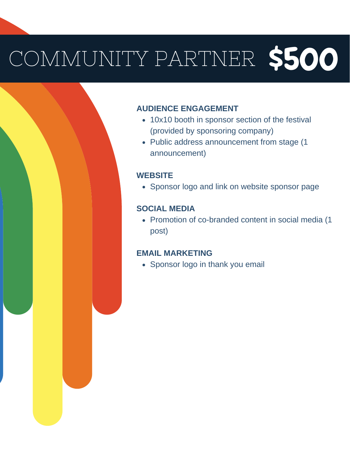# COMMUNITY PARTNER \$500

#### **AUDIENCE ENGAGEMENT**

- 10x10 booth in sponsor section of the festival (provided by sponsoring company)
- Public address announcement from stage (1 announcement)

#### **WEBSITE**

• Sponsor logo and link on website sponsor page

#### **SOCIAL MEDIA**

• Promotion of co-branded content in social media (1 post)

#### **EMAIL MARKETING**

• Sponsor logo in thank you email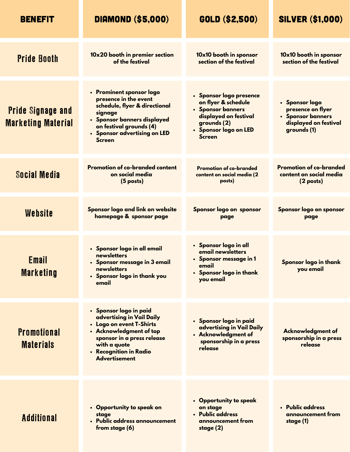| <b>BENEFIT</b>                                        | <b>DIAMOND (\$5,000)</b>                                                                                                                                                                                   | GOLD (\$2,500)                                                                                                                                          | <b>SILVER (\$1,000)</b>                                                                          |
|-------------------------------------------------------|------------------------------------------------------------------------------------------------------------------------------------------------------------------------------------------------------------|---------------------------------------------------------------------------------------------------------------------------------------------------------|--------------------------------------------------------------------------------------------------|
| <b>Pride Booth</b>                                    | 10x20 booth in premier section<br>of the festival                                                                                                                                                          | 10x10 booth in sponsor<br>section of the festival                                                                                                       | 10x10 booth in sponsor<br>section of the festival                                                |
| <b>Pride Signage and</b><br><b>Marketing Material</b> | • Prominent sponsor logo<br>presence in the event<br>schedule, flyer & directional<br>signage<br>• Sponsor banners displayed<br>on festival grounds (4)<br>• Sponsor advertising on LED<br><b>Screen</b>   | • Sponsor logo presence<br>on flyer & schedule<br>• Sponsor banners<br>displayed on festival<br>grounds $(2)$<br>• Sponsor logo on LED<br><b>Screen</b> | • Sponsor logo<br>presence on flyer<br>• Sponsor banners<br>displayed on festival<br>grounds (1) |
| Social Media                                          | <b>Promotion of co-branded content</b><br>on social media<br>$(5$ posts)                                                                                                                                   | <b>Promotion of co-branded</b><br>content on social media (2<br>posts)                                                                                  | <b>Promotion of co-branded</b><br>content on social media<br>$(2$ posts)                         |
| Website                                               | Sponsor logo and link on website<br>homepage & sponsor page                                                                                                                                                | Sponsor logo on sponsor<br>page                                                                                                                         | Sponsor logo on sponsor<br>page                                                                  |
| <b>Email</b><br><b>Marketing</b>                      | • Sponsor logo in all email<br>newsletters<br>Sponsor message in 3 email<br>newsletters<br>• Sponsor logo in thank you<br>email                                                                            | • Sponsor logo in all<br>email newsletters<br>• Sponsor message in 1<br>email<br>• Sponsor logo in thank<br>you email                                   | Sponsor logo in thank<br>you email                                                               |
| <b>Promotional</b><br><b>Materials</b>                | • Sponsor logo in paid<br>advertising in Vail Daily<br>• Logo on event T-Shirts<br>• Acknowledgment of top<br>sponsor in a press release<br>with a quote<br>• Recognition in Radio<br><b>Advertisement</b> | • Sponsor logo in paid<br>advertising in Vail Daily<br>• Acknowledgment of<br>sponsorship in a press<br>release                                         | <b>Acknowledgment of</b><br>sponsorship in a press<br>release                                    |
| <b>Additional</b>                                     | • Opportunity to speak on<br>stage<br>· Public address announcement<br>from stage (6)                                                                                                                      | • Opportunity to speak<br>on stage<br>• Public address<br>announcement from<br>stage $(2)$                                                              | • Public address<br>announcement from<br>stage (1)                                               |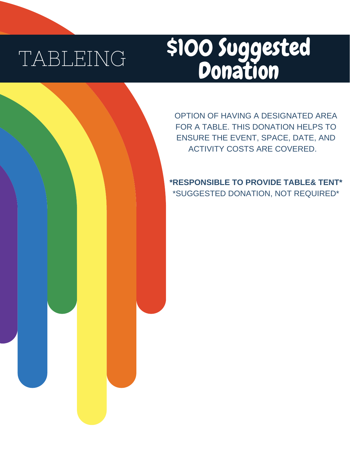## TABLEING

## \$100 Suggested **Donation**

OPTION OF HAVING A DESIGNATED AREA FOR A TABLE. THIS DONATION HELPS TO ENSURE THE EVENT, SPACE, DATE, AND ACTIVITY COSTS ARE COVERED.

**\*RESPONSIBLE TO PROVIDE TABLE& TENT\*** \*SUGGESTED DONATION, NOT REQUIRED\*